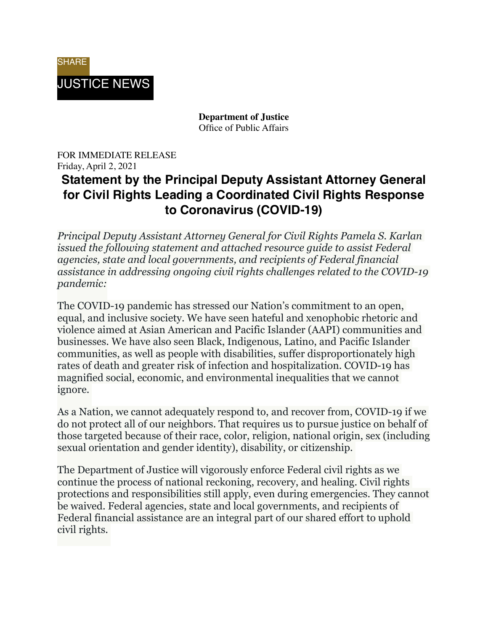

**Department of Justice** Office of Public Affairs

#### FOR IMMEDIATE RELEASE Friday, April 2, 2021 **Statement by the Principal Deputy Assistant Attorney General for Civil Rights Leading a Coordinated Civil Rights Response to Coronavirus (COVID-19)**

*Principal Deputy Assistant Attorney General for Civil Rights Pamela S. Karlan issued the following statement and attached resource guide to assist Federal agencies, state and local governments, and recipients of Federal financial assistance in addressing ongoing civil rights challenges related to the COVID-19 pandemic:*

The COVID-19 pandemic has stressed our Nation's commitment to an open, equal, and inclusive society. We have seen hateful and xenophobic rhetoric and violence aimed at Asian American and Pacific Islander (AAPI) communities and businesses. We have also seen Black, Indigenous, Latino, and Pacific Islander communities, as well as people with disabilities, suffer disproportionately high rates of death and greater risk of infection and hospitalization. COVID-19 has magnified social, economic, and environmental inequalities that we cannot ignore.

As a Nation, we cannot adequately respond to, and recover from, COVID-19 if we do not protect all of our neighbors. That requires us to pursue justice on behalf of those targeted because of their race, color, religion, national origin, sex (including sexual orientation and gender identity), disability, or citizenship.

The Department of Justice will vigorously enforce Federal civil rights as we continue the process of national reckoning, recovery, and healing. Civil rights protections and responsibilities still apply, even during emergencies. They cannot be waived. Federal agencies, state and local governments, and recipients of Federal financial assistance are an integral part of our shared effort to uphold civil rights.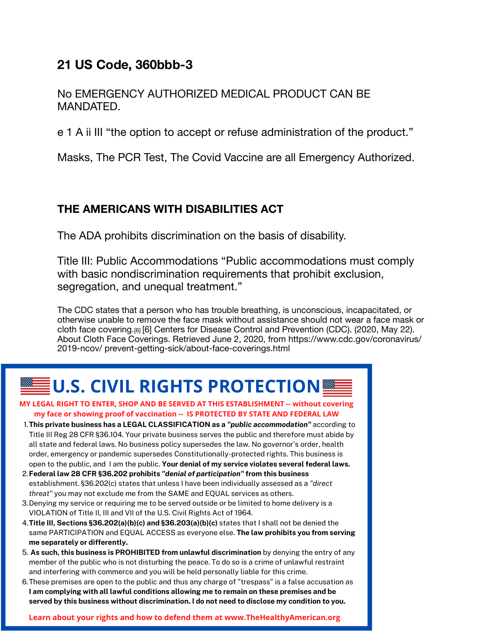### 21 US Code, 360bbb-3

No EMERGENCY AUTHORIZED MEDICAL PRODUCT CAN BE MANDATED.

e 1 A ii III "the option to accept or refuse administration of the product."

Masks, The PCR Test, The Covid Vaccine are all Emergency Authorized.

### THE AMERICANS WITH DISABILITIES ACT

The ADA prohibits discrimination on the basis of disability.

Title III: Public Accommodations "Public accommodations must comply with basic nondiscrimination requirements that prohibit exclusion, segregation, and unequal treatment."

The CDC states that a person who has trouble breathing, is unconscious, incapacitated, or otherwise unable to remove the face mask without assistance should not wear a face mask or cloth face covering.<sup>[6]</sup> [6] Centers for Disease Control and Prevention (CDC). (2020, May 22). About Cloth Face Coverings. Retrieved June 2, 2020, from https://www.cdc.gov/coronavirus/ 2019-ncov/prevent-getting-sick/about-face-coverings.html

# $\bar{{\mathsf{F}}}$ U.S. CIVIL RIGHTS PROTECTION $\blacksquare$

- MY LEGAL RIGHT TO ENTER, SHOP AND BE SERVED AT THIS ESTABLISHMENT -- without covering my face or showing proof of vaccination -- IS PROTECTED BY STATE AND FEDERAL LAW
- 1. This private business has a LEGAL CLASSIFICATION as a "public accommodation" according to Title III Reg 28 CFR §36.104. Your private business serves the public and therefore must abide by all state and federal laws. No business policy supersedes the law. No governor's order, health order, emergency or pandemic supersedes Constitutionally-protected rights. This business is open to the public, and I am the public. Your denial of my service violates several federal laws.
- 2. Federal law 28 CFR §36.202 prohibits "denial of participation" from this business establishment. §36.202(c) states that unless I have been individually assessed as a "direct threat" you may not exclude me from the SAME and EQUAL services as others.
- 3. Denying my service or requiring me to be served outside or be limited to home delivery is a VIOLATION of Title II, III and VII of the U.S. Civil Rights Act of 1964.
- 4. Title III, Sections §36.202(a)(b)(c) and §36.203(a)(b)(c) states that I shall not be denied the same PARTICIPATION and EQUAL ACCESS as everyone else. The law prohibits you from serving me separately or differently.
- 5. As such, this business is PROHIBITED from unlawful discrimination by denying the entry of any member of the public who is not disturbing the peace. To do so is a crime of unlawful restraint and interfering with commerce and you will be held personally liable for this crime.
- 6. These premises are open to the public and thus any charge of "trespass" is a false accusation as I am complying with all lawful conditions allowing me to remain on these premises and be served by this business without discrimination. I do not need to disclose my condition to you.

Learn about your rights and how to defend them at www.TheHealthyAmerican.org